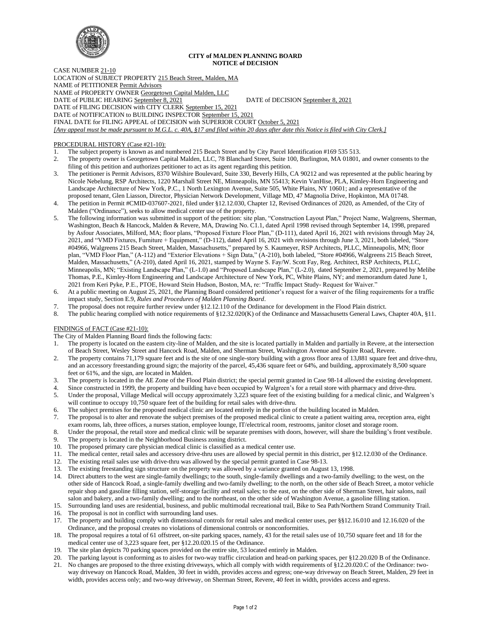

## **CITY of MALDEN PLANNING BOARD NOTICE of DECISION**

CASE NUMBER 21-10 LOCATION of SUBJECT PROPERTY 215 Beach Street, Malden, MA NAME of PETITIONER Permit Advisors NAME of PROPERTY OWNER Georgetown Capital Malden, LLC DATE of PUBLIC HEARING September 8, 2021 DATE of DECISION September 8, 2021 DATE of FILING DECISION with CITY CLERK September 15, 2021 DATE of NOTIFICATION to BUILDING INSPECTOR September 15, 2021 FINAL DATE for FILING APPEAL of DECISION with SUPERIOR COURT October 5, 2021 *[Any appeal must be made pursuant to M.G.L. c. 40A, §17 and filed within 20 days after date this Notice is filed with City Clerk.]* 

# PROCEDURAL HISTORY (Case #21-10):

1. The subject property is known as and numbered 215 Beach Street and by City Parcel Identification #169 535 513.

- 2. The property owner is Georgetown Capital Malden, LLC, 78 Blanchard Street, Suite 100, Burlington, MA 01801, and owner consents to the filing of this petition and authorizes petitioner to act as its agent regarding this petition.
- 3. The petitioner is Permit Advisors, 8370 Wilshire Boulevard, Suite 330, Beverly Hills, CA 90212 and was represented at the public hearing by Nicole Nebelung, RSP Architects, 1220 Marshall Street NE, Minneapolis, MN 55413; Kevin VanHise, PLA, Kimley-Horn Engineering and Landscape Architecture of New York, P.C., 1 North Lexington Avenue, Suite 505, White Plains, NY 10601; and a representative of the proposed tenant, Glen Liasson, Director, Physician Network Development, Village MD, 47 Magnolia Drive, Hopkinton, MA 01748.
- 4. The petition in Permit #CMID-037607-2021, filed under §12.12.030, Chapter 12, Revised Ordinances of 2020, as Amended, of the City of Malden ("Ordinance"), seeks to allow medical center use of the property.
- 5. The following information was submitted in support of the petition: site plan, "Construction Layout Plan," Project Name, Walgreens, Sherman, Washington, Beach & Hancock, Malden & Revere, MA, Drawing No. C1.1, dated April 1998 revised through September 14, 1998, prepared by Asfour Associates, Milford, MA; floor plans, "Proposed Fixture Floor Plan," (D-111), dated April 16, 2021 with revisions through May 24, 2021, and "VMD Fixtures, Furniture + Equipment," (D-112), dated April 16, 2021 with revisions through June 3, 2021, both labeled, "Store #04966, Walgreens 215 Beach Street, Malden, Massachusetts," prepared by S. Kaumeyer, RSP Architects, PLLC, Minneapolis, MN; floor plan, "VMD Floor Plan," (A-112) and "Exterior Elevations + Sign Data," (A-210), both labeled, "Store #04966, Walgreens 215 Beach Street, Malden, Massachusetts," (A-210), dated April 16, 2021, stamped by Wayne S. Fay/W. Scott Fay, Reg. Architect, RSP Architects, PLLC, Minneapolis, MN; "Existing Landscape Plan," (L-1.0) and "Proposed Landscape Plan," (L-2.0), dated September 2, 2021, prepared by Melibe Thomas, P.E., Kimley-Horn Engineering and Landscape Architecture of New York, PC, White Plains, NY; and memorandum dated June 1, 2021 from Keri Pyke, P.E., PTOE, Howard Stein Hudson, Boston, MA, re: "Traffic Impact Study- Request for Waiver."
- 6. At a public meeting on August 25, 2021, the Planning Board considered petitioner's request for a waiver of the filing requirements for a traffic impact study, Section E.9, *Rules and Procedures of Malden Planning Board*.
- 7. The proposal does not require further review under §12.12.110 of the Ordinance for development in the Flood Plain district.
- 8. The public hearing complied with notice requirements of §12.32.020(K) of the Ordinance and Massachusetts General Laws, Chapter 40A, §11.

# FINDINGS of FACT (Case #21-10):

The City of Malden Planning Board finds the following facts:

- 1. The property is located on the eastern city-line of Malden, and the site is located partially in Malden and partially in Revere, at the intersection of Beach Street, Wesley Street and Hancock Road, Malden, and Sherman Street, Washington Avenue and Squire Road, Revere.
- 2. The property contains 71,179 square feet and is the site of one single-story building with a gross floor area of 13,881 square feet and drive-thru, and an accessory freestanding ground sign; the majority of the parcel, 45,436 square feet or 64%, and building, approximately 8,500 square feet or 61%, and the sign, are located in Malden.
- 3. The property is located in the AE Zone of the Flood Plain district; the special permit granted in Case 98-14 allowed the existing development.
- 4. Since constructed in 1999, the property and building have been occupied by Walgreen's for a retail store with pharmacy and drive-thru.
- 5. Under the proposal, Village Medical will occupy approximately 3,223 square feet of the existing building for a medical clinic, and Walgreen's will continue to occupy 10,750 square feet of the building for retail sales with drive-thru.
- 6. The subject premises for the proposed medical clinic are located entirely in the portion of the building located in Malden.
- 7. The proposal is to alter and renovate the subject premises of the proposed medical clinic to create a patient waiting area, reception area, eight exam rooms, lab, three offices, a nurses station, employee lounge, IT/electrical room, restrooms, janitor closet and storage room.
- 8. Under the proposal, the retail store and medical clinic will be separate premises with doors, however, will share the building's front vestibule. 9. The property is located in the Neighborhood Business zoning district.
- 10. The proposed primary care physician medical clinic is classified as a medical center use.
- 11. The medical center, retail sales and accessory drive-thru uses are allowed by special permit in this district, per §12.12.030 of the Ordinance.
- 12. The existing retail sales use with drive-thru was allowed by the special permit granted in Case 98-13.
- 13. The existing freestanding sign structure on the property was allowed by a variance granted on August 13, 1998.
- 14. Direct abutters to the west are single-family dwellings; to the south, single-family dwellings and a two-family dwelling; to the west, on the other side of Hancock Road, a single-family dwelling and two-family dwelling; to the north, on the other side of Beach Street, a motor vehicle repair shop and gasoline filling station, self-storage facility and retail sales; to the east, on the other side of Sherman Street, hair salons, nail salon and bakery, and a two-family dwelling; and to the northeast, on the other side of Washington Avenue, a gasoline filling station.
- 15. Surrounding land uses are residential, business, and public multimodal recreational trail, Bike to Sea Path/Northern Strand Community Trail.
- 16. The proposal is not in conflict with surrounding land uses.
- 17. The property and building comply with dimensional controls for retail sales and medical center uses, per §§12.16.010 and 12.16.020 of the Ordinance, and the proposal creates no violations of dimensional controls or nonconformities.
- 18. The proposal requires a total of 61 offstreet, on-site parking spaces, namely, 43 for the retail sales use of 10,750 square feet and 18 for the medical center use of 3,223 square feet, per §12.20.020.15 of the Ordinance.
- 19. The site plan depicts 70 parking spaces provided on the entire site, 53 located entirely in Malden.
- 20. The parking layout is conforming as to aisles for two-way traffic circulation and head-on parking spaces, per §12.20.020 B of the Ordinance.
- 21. No changes are proposed to the three existing driveways, which all comply with width requirements of §12.20.020.C of the Ordinance: twoway driveway on Hancock Road, Malden, 30 feet in width, provides access and egress; one-way driveway on Beach Street, Malden, 29 feet in width, provides access only; and two-way driveway, on Sherman Street, Revere, 40 feet in width, provides access and egress.